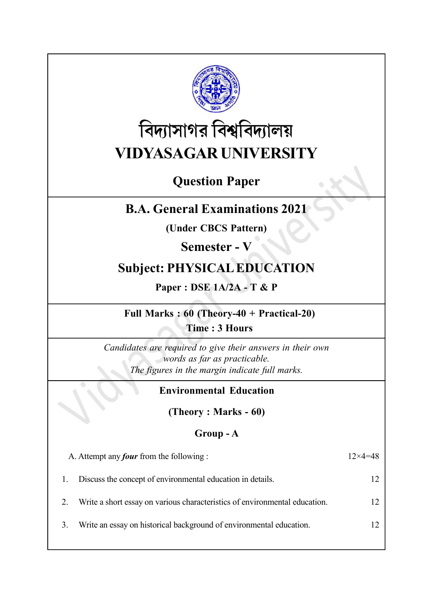

# বিদ্যাসাগর বিশ্ববিদ্যালয় VIDYASAGAR UNIVERSITY

# Question Paper

# B.A. General Examinations 2021

(Under CBCS Pattern)

Semester - V

# Subject: PHYSICAL EDUCATION

Paper : DSE 1A/2A - T & P

Full Marks : 60 (Theory-40 + Practical-20) Time : 3 Hours

Candidates are required to give their answers in their own words as far as practicable. The figures in the margin indicate full marks.

### Environmental Education

(Theory : Marks - 60)

### Group - A

| A. Attempt any <i>four</i> from the following :                            | $12\times4=48$  |
|----------------------------------------------------------------------------|-----------------|
| Discuss the concept of environmental education in details.                 |                 |
| Write a short essay on various characteristics of environmental education. | 12 <sup>°</sup> |
| Write an essay on historical background of environmental education.        |                 |
|                                                                            |                 |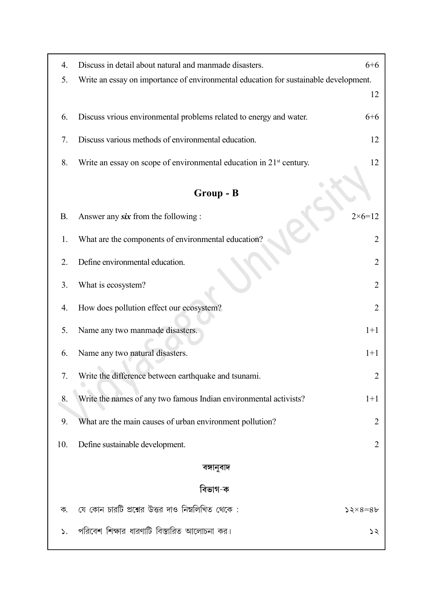| 4.        | Discuss in detail about natural and manmade disasters.                               | $6 + 6$           |
|-----------|--------------------------------------------------------------------------------------|-------------------|
| 5.        | Write an essay on importance of environmental education for sustainable development. | 12                |
|           |                                                                                      |                   |
| 6.        | Discuss vrious environmental problems related to energy and water.                   | $6 + 6$           |
| 7.        | Discuss various methods of environmental education.                                  | 12                |
| 8.        | Write an essay on scope of environmental education in $21st$ century.                | 12                |
|           |                                                                                      |                   |
|           | Group - B                                                                            |                   |
| <b>B.</b> | Answer any <i>six</i> from the following :                                           | $2 \times 6 = 12$ |
| 1.        | What are the components of environmental education?                                  | 2                 |
| 2.        | Define environmental education.                                                      | 2                 |
| 3.        | What is ecosystem?                                                                   | $\overline{2}$    |
| 4.        | How does pollution effect our ecosystem?                                             | $\overline{2}$    |
| 5.        | Name any two manmade disasters.                                                      | $1+1$             |
| 6.        | Name any two natural disasters.                                                      | $1+1$             |
| 7.        | Write the difference between earthquake and tsunami.                                 | 2                 |
| 8.        | Write the names of any two famous Indian environmental activists?                    | $1+1$             |
| 9.        | What are the main causes of urban environment pollution?                             | 2                 |
| 10.       | Define sustainable development.                                                      | 2                 |
|           | বঙ্গানুবাদ                                                                           |                   |
|           | বিভাগ-ক                                                                              |                   |
| ক.        | যে কোন চারটি প্রশ্নের উত্তর দাও নিম্নলিখিত থেকে :                                    | $52\times8=86$    |
| ১.        | পরিবেশ শিক্ষার ধারণাটি বিস্তারিত আলোচনা কর।                                          | ১২                |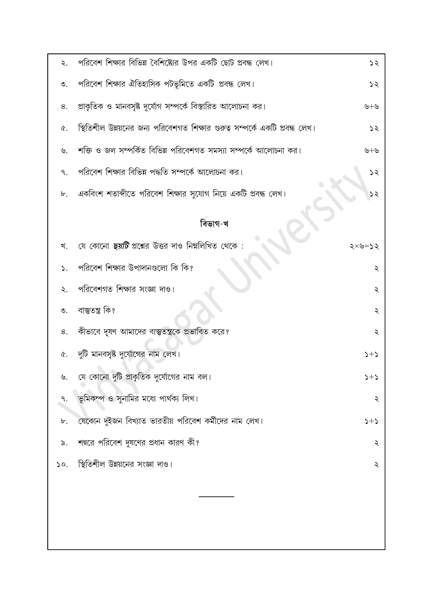| ২.              | পরিবেশ শিক্ষার বিভিন্ন বৈশিষ্ট্যের উপর একটি ছোট প্রবন্ধ লেখ।                 | 55      |
|-----------------|------------------------------------------------------------------------------|---------|
| ৩.              | পরিবেশ শিক্ষার ঐতিহাসিক পটভূমিতে একটি প্রবন্ধ লেখ।                           | 55      |
| 8.              | প্রাকৃতিক ও মানবসৃষ্ট দুর্যোগ সম্পর্কে বিস্তারিত আলোচনা কর।                  | ৬+৬     |
| Q.              | স্থিতিশীল উন্নয়নের জন্য পরিবেশগত শিক্ষার গুরুত্ব সম্পর্কে একটি প্রবন্ধ লেখ। | 55      |
| $\mathcal{P}$   | শক্তি ও জল সম্পর্কিত বিভিন্ন পরিবেশগত সমস্যা সম্পর্কে আলোচনা কর।             | ৬+৬     |
| ٩.              | পরিবেশ শিক্ষার বিভিন্ন পদ্ধতি সম্পর্কে আলোচনা কর।                            | 52      |
| ৮.              | একবিংশ শতাব্দীতে পরিবেশ শিক্ষার সুযোগ নিয়ে একটি প্রবন্ধ লেখ।                | ১২      |
|                 | বিভাগ-খ                                                                      |         |
|                 |                                                                              |         |
| খ.              | যে কোনো <i>ছয়টি</i> প্রশ্নের উত্তর দাও নিম্নলিখিত থেকে:                     | ২<৩=১২  |
| ↘.              | পরিবেশ শিক্ষার উপাদানগুলো কি কি?                                             | ২       |
| ২.              | পরিবেশগত শিক্ষার সংজ্ঞা দাও।                                                 | ২       |
| $\mathfrak{S}.$ | বাস্তুতন্ত্ৰ কি?                                                             | ২       |
| 8.              | কীভাবে দূষণ আমাদের বাস্তুতন্ত্রকে প্রভাবিত করে?                              | ২       |
| ¢.              | দুটি মানবসৃষ্ট দুর্যোগের নাম লেখ।                                            | $2 + 2$ |
| ৬.              | যে কোনো দুটি প্রাকৃতিক দুর্যোগের নাম বল।                                     | $2 + 2$ |
|                 | ভূমিকম্প ও সুনামির মধ্যে পার্থক্য লিখ।                                       | ২       |
| ৮.              | যেকোন দুইজন বিখ্যাত ভারতীয় পরিবেশ কর্মীদের নাম লেখ।                         | $2+5$   |
| ৯.              | শহুরে পরিবেশ দুষণের প্রধান কারণ কী?                                          | ২       |
| $\mathsf{so}.$  | স্থিতিশীল উন্নয়নের সংজ্ঞা দাও।                                              | ২       |
|                 |                                                                              |         |
|                 |                                                                              |         |
|                 |                                                                              |         |
|                 |                                                                              |         |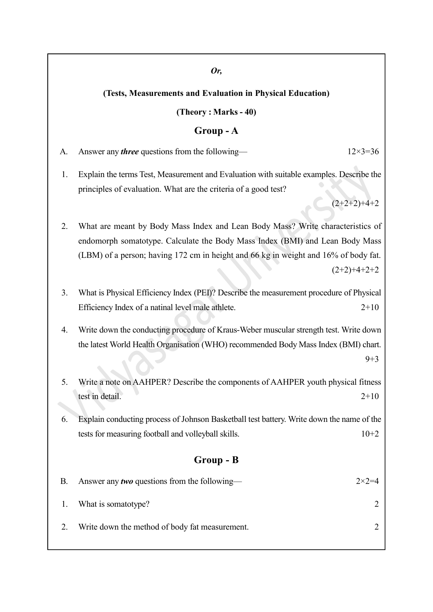#### Or,

#### (Tests, Measurements and Evaluation in Physical Education)

(Theory : Marks - 40)

#### Group - A

- A. Answer any *three* questions from the following—  $12 \times 3 = 36$
- 1. Explain the terms Test, Measurement and Evaluation with suitable examples. Describe the principles of evaluation. What are the criteria of a good test?

 $(2+2+2)+4+2$ 

- 2. What are meant by Body Mass Index and Lean Body Mass? Write characteristics of endomorph somatotype. Calculate the Body Mass Index (BMI) and Lean Body Mass (LBM) of a person; having 172 cm in height and 66 kg in weight and 16% of body fat.  $(2+2)+4+2+2$
- 3. What is Physical Efficiency Index (PEI)? Describe the measurement procedure of Physical Efficiency Index of a natinal level male athlete. 2+10
- 4. Write down the conducting procedure of Kraus-Weber muscular strength test. Write down the latest World Health Organisation (WHO) recommended Body Mass Index (BMI) chart.  $9 + 3$
- 5. Write a note on AAHPER? Describe the components of AAHPER youth physical fitness test in detail. 2+10
- 6. Explain conducting process of Johnson Basketball test battery. Write down the name of the tests for measuring football and volleyball skills. 10+2

#### Group - B

| В. | Answer any <i>two</i> questions from the following— | $2 \times 2 = 4$ |
|----|-----------------------------------------------------|------------------|
|    | 1. What is somatotype?                              |                  |
|    | Write down the method of body fat measurement.      |                  |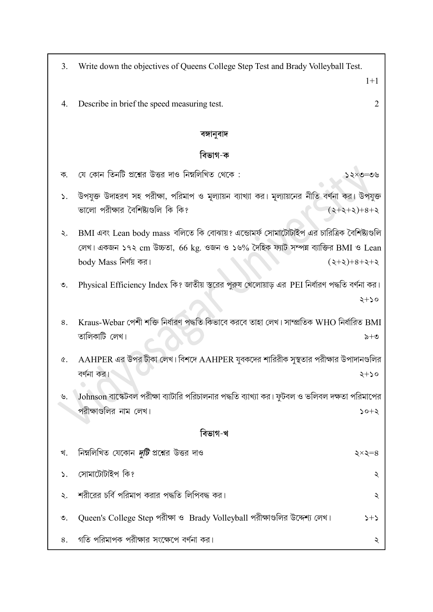| 3.              | Write down the objectives of Queens College Step Test and Brady Volleyball Test.               |
|-----------------|------------------------------------------------------------------------------------------------|
|                 | $1+1$                                                                                          |
| 4.              | $\overline{2}$<br>Describe in brief the speed measuring test.                                  |
|                 | বঙ্গানুবাদ                                                                                     |
|                 | বিভাগ-ক                                                                                        |
| ক.              | যে কোন তিনটি প্রশ্নের উত্তর দাও নিম্নলিখিত থেকে :<br>১২×৩=৩৬                                   |
| ১.              | উপযুক্ত উদাহরণ সহ পরীক্ষা, পরিমাপ ও মূল্যায়ন ব্যাখ্যা কর। মূল্যায়নের নীতি বর্ণনা কর। উপযুক্ত |
|                 | ভালো পরীক্ষার বৈশিষ্ট্যগুলি কি কি?<br>$(2+2+2)+8+2$                                            |
| ২.              | BMI এবং Lean body mass বলিতে কি বোঝায়? এন্ডোমর্ফ সোমাটোটাইপ এর চারিত্রিক বৈশিষ্ট্যগুলি        |
|                 | লেখ। একজন ১৭২ cm উচ্চতা, 66 kg. ওজন ও ১৬% দৈহিক ফ্যাট সম্পন্ন ব্যাক্তির BMI ও Lean             |
|                 | body Mass নির্ণয় কর।<br>$(2+2)+8+2+2$                                                         |
| $\mathfrak{O}.$ | Physical Efficiency Index কি? জাতীয় স্তরের পুরুষ খেলোয়াড় এর PEI নির্ধারণ পদ্ধতি বর্ণনা কর।  |
|                 | ২+১০                                                                                           |
| 8.              | Kraus-Webar পেশী শক্তি নির্ধারণ পদ্ধতি কিভাবে করবে তাহা লেখ। সাম্প্রতিক WHO নির্ধারিত BMI      |
|                 | তালিকাটি লেখ।<br>৯ $+$ ৩                                                                       |
| ৫.              | $A$ AHPER এর উপর টীকা লেখ। বিশদে $A$ AHPER যুবকদের শারিরীক সুস্থতার পরীক্ষার উপাদানগুলির       |
|                 | বর্ণনা কর।<br>২+১০                                                                             |
| ৬.              | Johnson বাস্কেটবল পরীক্ষা ব্যাটারি পরিচালনার পদ্ধতি ব্যাখ্যা কর। ফুটবল ও ভলিবল দক্ষতা পরিমাপের |
|                 | পরীক্ষাগুলির নাম লেখ।<br>$> 0+5$                                                               |
|                 | বিভাগ-খ                                                                                        |
| খ.              | নিম্নলিখিত যেকোন <i>দুটি</i> প্রশ্নের উত্তর দাও<br>২×২=৪                                       |
| ۵.              | সোমাটোটাইপ কি?<br>২                                                                            |
| ২.              | শরীরের চর্বি পরিমাপ করার পদ্ধতি লিপিবদ্ধ কর।<br>২                                              |
| $\circ$ .       | Queen's College Step পরীক্ষা ও Brady Volleyball পরীক্ষাগুলির উদ্দেশ্য লেখ।<br>$2 + 2$          |

৪. গতি পরিমাপক পরীক্ষার সংক্ষেপে বর্ণনা কর।

 $\lambda$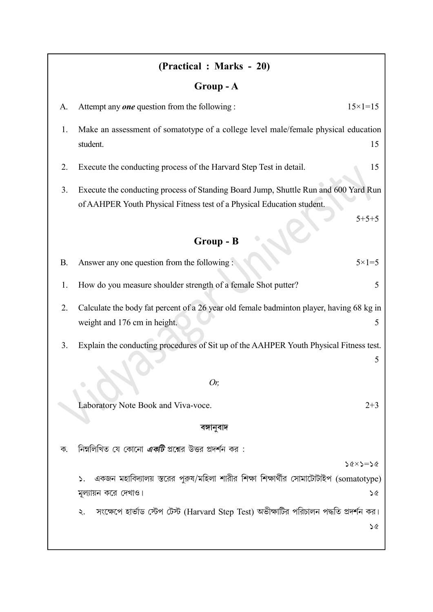# (Practical: Marks - 20)

# Group-A

| A.        | Attempt any <b>one</b> question from the following :                                                                                                                       | $15 \times 1 = 15$       |
|-----------|----------------------------------------------------------------------------------------------------------------------------------------------------------------------------|--------------------------|
| 1.        | Make an assessment of somatotype of a college level male/female physical education<br>student.                                                                             | 15                       |
| 2.        | Execute the conducting process of the Harvard Step Test in detail.                                                                                                         | 15                       |
| 3.        | Execute the conducting process of Standing Board Jump, Shuttle Run and 600 Yard Run<br>of AAHPER Youth Physical Fitness test of a Physical Education student.<br>Group - B | $5 + 5 + 5$              |
|           |                                                                                                                                                                            |                          |
| <b>B.</b> | Answer any one question from the following:                                                                                                                                | $5 \times 1 = 5$         |
| 1.        | How do you measure shoulder strength of a female Shot putter?                                                                                                              | 5                        |
| 2.        | Calculate the body fat percent of a 26 year old female badminton player, having 68 kg in<br>weight and 176 cm in height.                                                   | 5                        |
| 3.        | Explain the conducting procedures of Sit up of the AAHPER Youth Physical Fitness test.                                                                                     | 5                        |
|           | Or,                                                                                                                                                                        |                          |
|           | Laboratory Note Book and Viva-voce.                                                                                                                                        | $2 + 3$                  |
|           | বঙ্গানুবাদ                                                                                                                                                                 |                          |
| ক.        | নিম্নলিখিত যে কোনো <i>একটি</i> প্রশ্নের উত্তর প্রদর্শন কর :                                                                                                                |                          |
|           |                                                                                                                                                                            | $\Diamond z = z \land z$ |
|           | একজন মহাবিদ্যালয় স্তরের পুরুষ/মহিলা শারীর শিক্ষা শিক্ষার্থীর সোমাটোটাইপ (somatotype)<br>$\mathsf{S}$ .                                                                    |                          |
|           | মূল্যায়ন করে দেখাও।                                                                                                                                                       | <b>S</b>                 |
|           | সংক্ষেপে হার্ভাড স্টেপ টেস্ট (Harvard Step Test) অভীক্ষাটির পরিচালন পদ্ধতি প্রদর্শন কর।<br>২.                                                                              |                          |
|           |                                                                                                                                                                            | <b>S&amp;</b>            |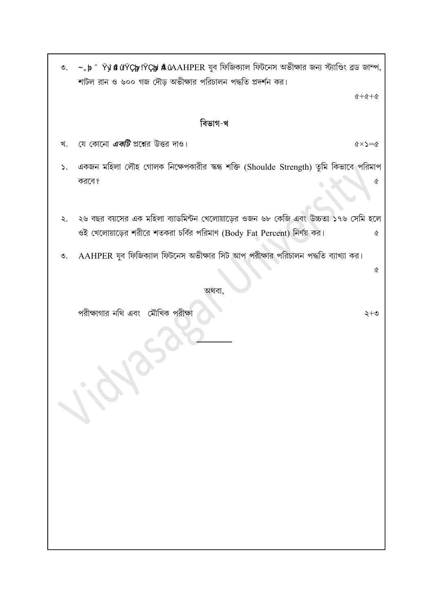| ৩.              | $\sim$ , b $\sim$ Ÿŷ # $\tilde{u}$ ŸÇly !ŸÇlyi $\tilde{A}$ ûAAHPER যুব ফিজিক্যাল ফিটনেস অভীক্ষার জন্য স্ট্যাণ্ডিং ব্রড জাম্প,<br>শাটল রান ও ৬০০ গজ দৌড় অভীক্ষার পরিচালন পদ্ধতি প্রদর্শন কর। |                     |
|-----------------|----------------------------------------------------------------------------------------------------------------------------------------------------------------------------------------------|---------------------|
|                 | $6 + 6 + 6$                                                                                                                                                                                  |                     |
|                 | বিভাগ-খ                                                                                                                                                                                      |                     |
| খ.              | যে কোনো <i>এ<b>কটি</b></i> প্রশ্নের উত্তর দাও।<br>$\Diamond=\Diamond\times\Diamond$                                                                                                          |                     |
| ১.              | একজন মহিলা লৌহ গোলক নিক্ষেপকারীর স্কন্ধ শক্তি (Shoulde Strength) তুমি কিভাবে পরিমাপ                                                                                                          |                     |
|                 | করবে?                                                                                                                                                                                        | ¢                   |
|                 |                                                                                                                                                                                              |                     |
| ২.              | ২৬ বছর বয়সের এক মহিলা ব্যাডমিন্টন খেলোয়াড়ের ওজন ৬৮ কেজি এবং উচ্চতা ১৭৬ সেমি হলে<br>ওই খেলোয়াড়ের শরীরে শতকরা চর্বির পরিমাণ (Body Fat Percent) নির্ণয় কর।                                | Q                   |
| $\mathcal{O}$ . | AAHPER যুব ফিজিক্যাল ফিটনেস অভীক্ষার সিট আপ পরীক্ষার পরিচালন পদ্ধতি ব্যাখ্যা কর।                                                                                                             |                     |
|                 |                                                                                                                                                                                              | $\pmb{\mathcal{C}}$ |
|                 | অথবা,                                                                                                                                                                                        |                     |
|                 | পরীক্ষাগার নথি এবং মৌখিক পরীক্ষা<br>২+৩                                                                                                                                                      |                     |
|                 | 1.O.                                                                                                                                                                                         |                     |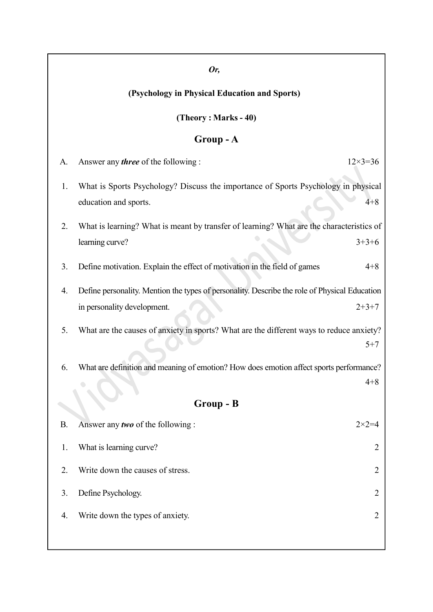### Or,

## (Psychology in Physical Education and Sports)

### (Theory : Marks - 40)

## Group - A

| A.        | Answer any <i>three</i> of the following :                                                    | $12 \times 3 = 36$ |
|-----------|-----------------------------------------------------------------------------------------------|--------------------|
| 1.        | What is Sports Psychology? Discuss the importance of Sports Psychology in physical            |                    |
|           | education and sports.                                                                         | $4 + 8$            |
| 2.        | What is learning? What is meant by transfer of learning? What are the characteristics of      |                    |
|           | learning curve?                                                                               | $3+3+6$            |
| 3.        | Define motivation. Explain the effect of motivation in the field of games                     | $4 + 8$            |
| 4.        | Define personality. Mention the types of personality. Describe the role of Physical Education |                    |
|           | in personality development.                                                                   | $2+3+7$            |
| 5.        | What are the causes of anxiety in sports? What are the different ways to reduce anxiety?      |                    |
|           |                                                                                               | $5 + 7$            |
| 6.        | What are definition and meaning of emotion? How does emotion affect sports performance?       |                    |
|           |                                                                                               | $4 + 8$            |
|           | Group - B                                                                                     |                    |
| <b>B.</b> | Answer any two of the following:                                                              | $2 \times 2 = 4$   |
| 1.        | What is learning curve?                                                                       | $\overline{2}$     |
| 2.        | Write down the causes of stress.                                                              | 2                  |
| 3.        | Define Psychology.                                                                            | $\overline{2}$     |
| 4.        | Write down the types of anxiety.                                                              | 2                  |
|           |                                                                                               |                    |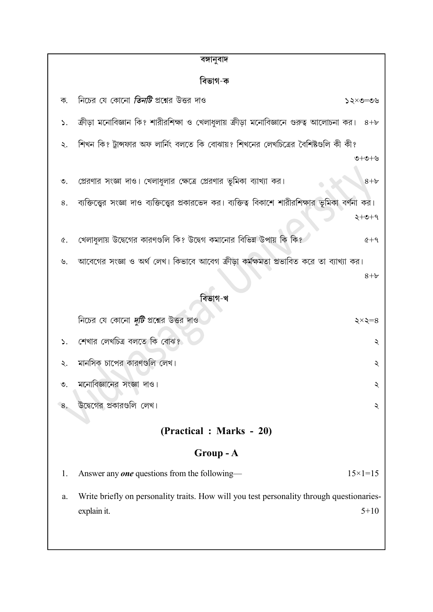| বঙ্গানুবাদ      |                                                                                                                      |   |
|-----------------|----------------------------------------------------------------------------------------------------------------------|---|
| বিভাগ-ক         |                                                                                                                      |   |
| ক.              | নিচের যে কোনো <i>তিনটি</i> প্রশ্নের উত্তর দাও<br>১২×৩=৩৬                                                             |   |
| ۵.              | ক্রীড়া মনোবিজ্ঞান কি? শারীরশিক্ষা ও খেলাধুলায় ক্রীড়া মনোবিজ্ঞানে গুরুত্ব আলোচনা কর।<br>$8 + b$                    |   |
| ২.              | শিখন কি? ট্রান্সফার অফ লার্নিং বলতে কি বোঝায়? শিখনের লেখচিত্রের বৈশিষ্টগুলি কী কী?                                  |   |
|                 | ৩+৩+৬                                                                                                                |   |
| $\mathfrak{S}.$ | প্রেরণার সংজ্ঞা দাও। খেলাধুলার ক্ষেত্রে প্রেরণার ভূমিকা ব্যাখ্যা কর।<br>$8 + b$                                      |   |
| 8.              | ব্যক্তিত্ত্বের সংজ্ঞা দাও ব্যক্তিত্ত্বের প্রকারভেদ কর। ব্যক্তিত্ব বিকাশে শারীরশিক্ষার ভূমিকা বর্ণনা কর।              |   |
|                 | $2+0+9$                                                                                                              |   |
| ¢.              | খেলাধুলায় উদ্বেগের কারণগুলি কি? উদ্বেগ কমানোর বিভিন্ন উপায় কি কি?<br>$6+9$                                         |   |
| ৬.              | আবেগের সংজ্ঞা ও অর্থ লেখ। কিভাবে আবেগ ক্রীড়া কর্মক্ষমতা প্রভাবিত করে তা ব্যাখ্যা কর।                                |   |
|                 | $8 + b$                                                                                                              |   |
|                 | বিভাগ-খ                                                                                                              |   |
|                 | নিচের যে কোনো <i>দুটি</i> প্রশ্নের উত্তর দাও<br>২ $\times$ ২ $=$ ৪                                                   |   |
| $\mathsf{S}$ .  | শেখার লেখচিত্র বলতে কি বোঝ?                                                                                          | ২ |
| ২.              | মানসিক চাপের কারণগুলি লেখ।                                                                                           | ২ |
| $\circ$ .       | মনোবিজ্ঞানের সংজ্ঞা দাও।                                                                                             | ২ |
| 8.              | উদ্বেগের প্রকারগুলি লেখ।                                                                                             | ২ |
|                 | (Practical : Marks - 20)                                                                                             |   |
|                 |                                                                                                                      |   |
|                 | Group - A                                                                                                            |   |
| 1.              | Answer any <b>one</b> questions from the following—<br>$15 \times 1 = 15$                                            |   |
| a.              | Write briefly on personality traits. How will you test personality through questionaries-<br>$5 + 10$<br>explain it. |   |
|                 |                                                                                                                      |   |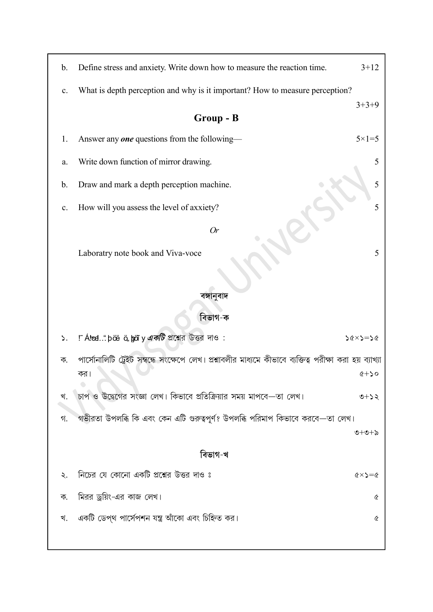| b.             | Define stress and anxiety. Write down how to measure the reaction time.                                  | $3+12$                          |
|----------------|----------------------------------------------------------------------------------------------------------|---------------------------------|
| $\mathbf{c}$ . | What is depth perception and why is it important? How to measure perception?                             |                                 |
|                | Group - B                                                                                                | $3+3+9$                         |
| 1.             | Answer any <b>one</b> questions from the following-                                                      | $5 \times 1 = 5$                |
| a.             | Write down function of mirror drawing.                                                                   | 5                               |
| $\mathbf b$ .  | Draw and mark a depth perception machine.                                                                | 5                               |
| $\mathbf{c}$ . | How will you assess the level of axxiety?                                                                | 5                               |
|                | <b>Or</b>                                                                                                |                                 |
|                | Laboratry note book and Viva-voce                                                                        | 5                               |
|                |                                                                                                          |                                 |
|                | বঙ্গানুবাদ                                                                                               |                                 |
|                | বিভাগ-ক                                                                                                  |                                 |
| ۵.             | !~ Áltoel" þöë ö, bjoïy একটি প্রশ্নের উত্তর দাও :                                                        | $56 \times 5 = 26$              |
| ক.             | পার্সোনালিটি ট্রেইট সম্বন্ধে সংক্ষেপে লেখ। প্রশ্নাবলীর মাধ্যমে কীভাবে ব্যক্তিত্ব পরীক্ষা করা হয় ব্যাখ্য |                                 |
|                | কর।                                                                                                      | $Q + 50$                        |
| খ.             | চাপ ও উদ্বেগের সংজ্ঞা লেখ। কিভাবে প্রতিক্রিয়ার সময় মাপবে—তা লেখ।                                       | $9+25$                          |
| গ.             | গভীরতা উপলব্ধি কি এবং কেন এটি গুরুত্বপূর্ণ? উপলব্ধি পরিমাপ কিভাবে করবে—তা লেখ।                           |                                 |
|                |                                                                                                          | ৩+৩+৯                           |
|                | বিভাগ-খ                                                                                                  |                                 |
| ২.             | নিচের যে কোনো একটি প্রশ্নের উত্তর দাও ঃ                                                                  | $\alpha \times \alpha = \alpha$ |
| ক.             | মিরর ড্রয়িং-এর কাজ লেখ।                                                                                 | Q                               |
| খ.             | একটি ডেপ্থ পার্সেপশন যন্ত্র আঁকো এবং চিহ্নিত কর।                                                         | $\pmb{\mathcal{C}}$             |
|                |                                                                                                          |                                 |